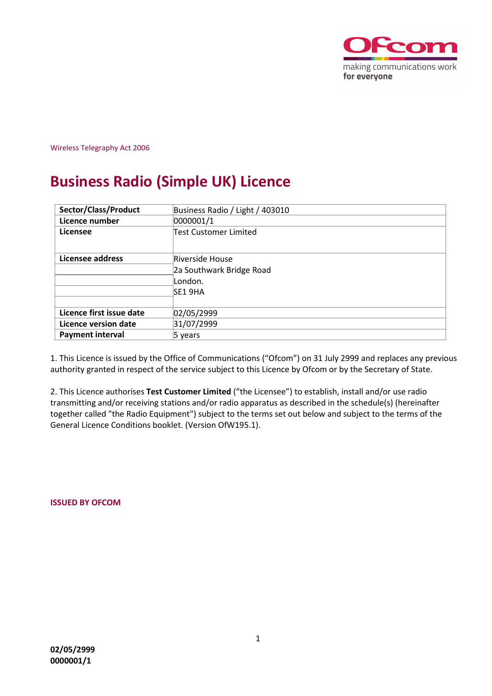

Wireless Telegraphy Act 2006

# **Business Radio (Simple UK) Licence**

| Sector/Class/Product     | Business Radio / Light / 403010                                   |  |  |  |
|--------------------------|-------------------------------------------------------------------|--|--|--|
| Licence number           | 0000001/1                                                         |  |  |  |
| Licensee                 | <b>Test Customer Limited</b>                                      |  |  |  |
| Licensee address         | Riverside House<br>2a Southwark Bridge Road<br>London.<br>SE1 9HA |  |  |  |
| Licence first issue date | 02/05/2999                                                        |  |  |  |
| Licence version date     | 31/07/2999                                                        |  |  |  |
| <b>Payment interval</b>  | 5 vears                                                           |  |  |  |

1. This Licence is issued by the Office of Communications ("Ofcom") on 31 July 2999 and replaces any previous authority granted in respect of the service subject to this Licence by Ofcom or by the Secretary of State.

2. This Licence authorises **Test Customer Limited** ("the Licensee") to establish, install and/or use radio transmitting and/or receiving stations and/or radio apparatus as described in the schedule(s) (hereinafter together called "the Radio Equipment") subject to the terms set out below and subject to the terms of the General Licence Conditions booklet. (Version OfW195.1).

**ISSUED BY OFCOM**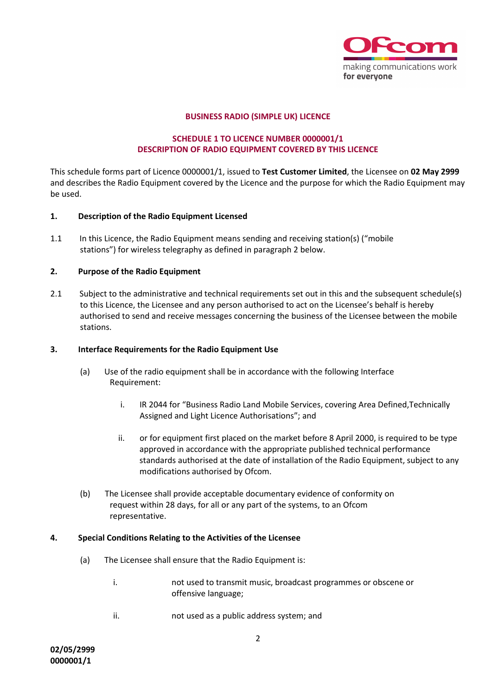

## **BUSINESS RADIO (SIMPLE UK) LICENCE**

# **SCHEDULE 1 TO LICENCE NUMBER 0000001/1 DESCRIPTION OF RADIO EQUIPMENT COVERED BY THIS LICENCE**

This schedule forms part of Licence 0000001/1, issued to **Test Customer Limited**, the Licensee on **02 May 2999** and describes the Radio Equipment covered by the Licence and the purpose for which the Radio Equipment may be used.

## **1. Description of the Radio Equipment Licensed**

1.1 In this Licence, the Radio Equipment means sending and receiving station(s) ("mobile stations") for wireless telegraphy as defined in paragraph 2 below.

## **2. Purpose of the Radio Equipment**

2.1 Subject to the administrative and technical requirements set out in this and the subsequent schedule(s) to this Licence, the Licensee and any person authorised to act on the Licensee's behalf is hereby authorised to send and receive messages concerning the business of the Licensee between the mobile stations.

### **3. Interface Requirements for the Radio Equipment Use**

- (a) Use of the radio equipment shall be in accordance with the following Interface Requirement:
	- i. IR 2044 for "Business Radio Land Mobile Services, covering Area Defined,Technically Assigned and Light Licence Authorisations"; and
	- ii. or for equipment first placed on the market before 8 April 2000, is required to be type approved in accordance with the appropriate published technical performance standards authorised at the date of installation of the Radio Equipment, subject to any modifications authorised by Ofcom.
- (b) The Licensee shall provide acceptable documentary evidence of conformity on request within 28 days, for all or any part of the systems, to an Ofcom representative.

#### **4. Special Conditions Relating to the Activities of the Licensee**

- (a) The Licensee shall ensure that the Radio Equipment is:
	- i. not used to transmit music, broadcast programmes or obscene or offensive language;
	- ii. not used as a public address system; and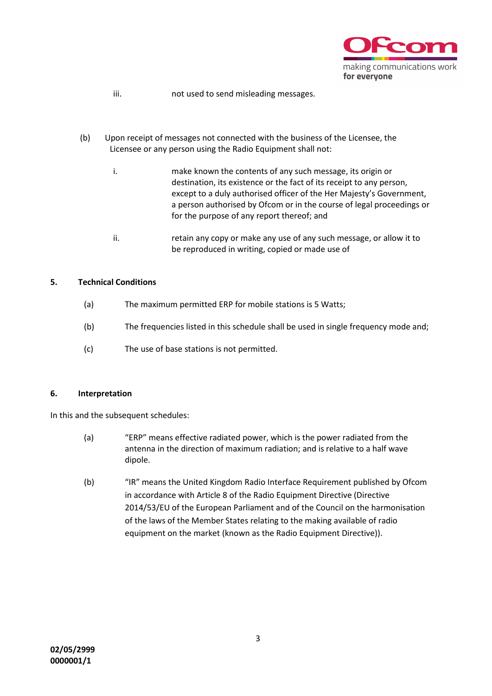

- iii. not used to send misleading messages.
- (b) Upon receipt of messages not connected with the business of the Licensee, the Licensee or any person using the Radio Equipment shall not:
	- i. make known the contents of any such message, its origin or destination, its existence or the fact of its receipt to any person, except to a duly authorised officer of the Her Majesty's Government, a person authorised by Ofcom or in the course of legal proceedings or for the purpose of any report thereof; and
	- ii. retain any copy or make any use of any such message, or allow it to be reproduced in writing, copied or made use of

# **5. Technical Conditions**

- (a) The maximum permitted ERP for mobile stations is 5 Watts;
- (b) The frequencies listed in this schedule shall be used in single frequency mode and;
- (c) The use of base stations is not permitted.

# **6. Interpretation**

In this and the subsequent schedules:

- (a) "ERP" means effective radiated power, which is the power radiated from the antenna in the direction of maximum radiation; and is relative to a half wave dipole.
- (b) "IR" means the United Kingdom Radio Interface Requirement published by Ofcom in accordance with Article 8 of the Radio Equipment Directive (Directive 2014/53/EU of the European Parliament and of the Council on the harmonisation of the laws of the Member States relating to the making available of radio equipment on the market (known as the Radio Equipment Directive)).